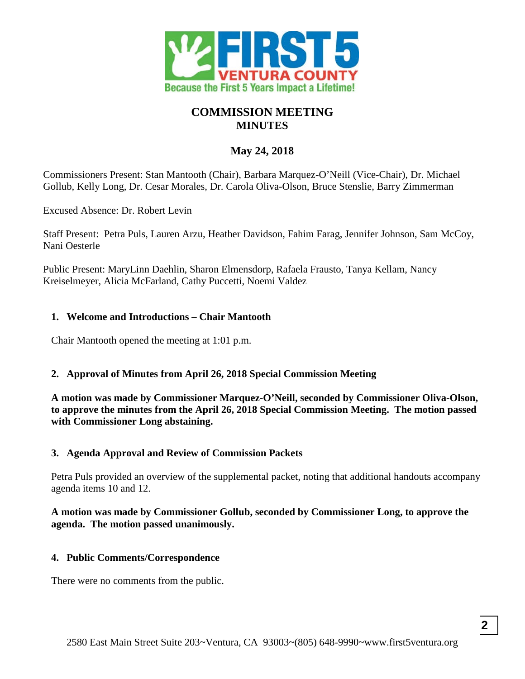

# **COMMISSION MEETING MINUTES**

# **May 24, 2018**

Commissioners Present: Stan Mantooth (Chair), Barbara Marquez-O'Neill (Vice-Chair), Dr. Michael Gollub, Kelly Long, Dr. Cesar Morales, Dr. Carola Oliva-Olson, Bruce Stenslie, Barry Zimmerman

Excused Absence: Dr. Robert Levin

Staff Present: Petra Puls, Lauren Arzu, Heather Davidson, Fahim Farag, Jennifer Johnson, Sam McCoy, Nani Oesterle

Public Present: MaryLinn Daehlin, Sharon Elmensdorp, Rafaela Frausto, Tanya Kellam, Nancy Kreiselmeyer, Alicia McFarland, Cathy Puccetti, Noemi Valdez

### **1. Welcome and Introductions – Chair Mantooth**

Chair Mantooth opened the meeting at 1:01 p.m.

### **2. Approval of Minutes from April 26, 2018 Special Commission Meeting**

**A motion was made by Commissioner Marquez-O'Neill, seconded by Commissioner Oliva-Olson, to approve the minutes from the April 26, 2018 Special Commission Meeting. The motion passed with Commissioner Long abstaining.**

### **3. Agenda Approval and Review of Commission Packets**

Petra Puls provided an overview of the supplemental packet, noting that additional handouts accompany agenda items 10 and 12.

### **A motion was made by Commissioner Gollub, seconded by Commissioner Long, to approve the agenda. The motion passed unanimously.**

### **4. Public Comments/Correspondence**

There were no comments from the public.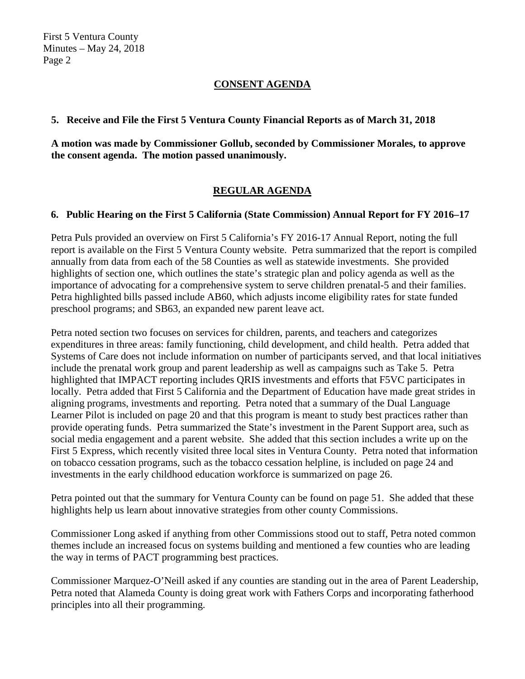## **CONSENT AGENDA**

#### **5. Receive and File the First 5 Ventura County Financial Reports as of March 31, 2018**

**A motion was made by Commissioner Gollub, seconded by Commissioner Morales, to approve the consent agenda. The motion passed unanimously.**

# **REGULAR AGENDA**

### **6. Public Hearing on the First 5 California (State Commission) Annual Report for FY 2016–17**

Petra Puls provided an overview on First 5 California's FY 2016-17 Annual Report, noting the full report is available on the First 5 Ventura County website. Petra summarized that the report is compiled annually from data from each of the 58 Counties as well as statewide investments. She provided highlights of section one, which outlines the state's strategic plan and policy agenda as well as the importance of advocating for a comprehensive system to serve children prenatal-5 and their families. Petra highlighted bills passed include AB60, which adjusts income eligibility rates for state funded preschool programs; and SB63, an expanded new parent leave act.

Petra noted section two focuses on services for children, parents, and teachers and categorizes expenditures in three areas: family functioning, child development, and child health. Petra added that Systems of Care does not include information on number of participants served, and that local initiatives include the prenatal work group and parent leadership as well as campaigns such as Take 5. Petra highlighted that IMPACT reporting includes QRIS investments and efforts that F5VC participates in locally. Petra added that First 5 California and the Department of Education have made great strides in aligning programs, investments and reporting. Petra noted that a summary of the Dual Language Learner Pilot is included on page 20 and that this program is meant to study best practices rather than provide operating funds. Petra summarized the State's investment in the Parent Support area, such as social media engagement and a parent website. She added that this section includes a write up on the First 5 Express, which recently visited three local sites in Ventura County. Petra noted that information on tobacco cessation programs, such as the tobacco cessation helpline, is included on page 24 and investments in the early childhood education workforce is summarized on page 26.

Petra pointed out that the summary for Ventura County can be found on page 51. She added that these highlights help us learn about innovative strategies from other county Commissions.

Commissioner Long asked if anything from other Commissions stood out to staff, Petra noted common themes include an increased focus on systems building and mentioned a few counties who are leading the way in terms of PACT programming best practices.

Commissioner Marquez-O'Neill asked if any counties are standing out in the area of Parent Leadership, Petra noted that Alameda County is doing great work with Fathers Corps and incorporating fatherhood principles into all their programming.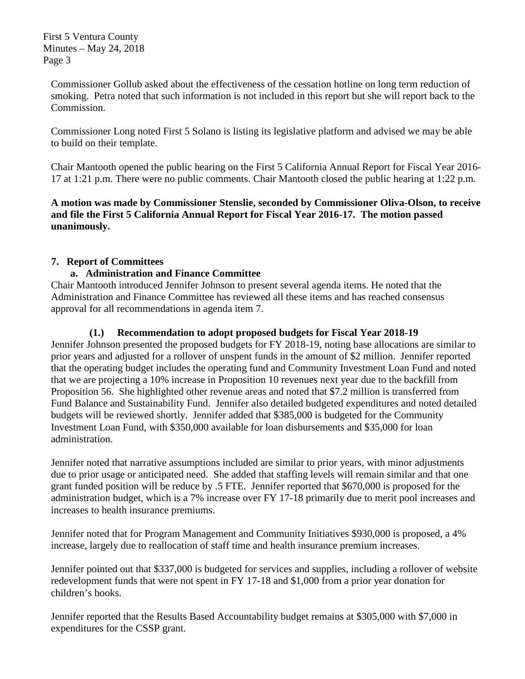Commissioner Gollub asked about the effectiveness of the cessation hotline on long term reduction of smoking. Petra noted that such information is not included in this report but she will report back to the Commission.

Commissioner Long noted First 5 Solano is listing its legislative platform and advised we may be able to build on their template.

Chair Mantooth opened the public hearing on the First 5 California Annual Report for Fiscal Year 2016- 17 at 1:21 p.m. There were no public comments. Chair Mantooth closed the public hearing at 1:22 p.m.

**A motion was made by Commissioner Stenslie, seconded by Commissioner Oliva-Olson, to receive and file the First 5 California Annual Report for Fiscal Year 2016-17. The motion passed unanimously.**

### **7. Report of Committees**

### **a. Administration and Finance Committee**

Chair Mantooth introduced Jennifer Johnson to present several agenda items. He noted that the Administration and Finance Committee has reviewed all these items and has reached consensus approval for all recommendations in agenda item 7.

## **(1.) Recommendation to adopt proposed budgets for Fiscal Year 2018-19**

Jennifer Johnson presented the proposed budgets for FY 2018-19, noting base allocations are similar to prior years and adjusted for a rollover of unspent funds in the amount of \$2 million. Jennifer reported that the operating budget includes the operating fund and Community Investment Loan Fund and noted that we are projecting a 10% increase in Proposition 10 revenues next year due to the backfill from Proposition 56. She highlighted other revenue areas and noted that \$7.2 million is transferred from Fund Balance and Sustainability Fund. Jennifer also detailed budgeted expenditures and noted detailed budgets will be reviewed shortly. Jennifer added that \$385,000 is budgeted for the Community Investment Loan Fund, with \$350,000 available for loan disbursements and \$35,000 for loan administration.

Jennifer noted that narrative assumptions included are similar to prior years, with minor adjustments due to prior usage or anticipated need. She added that staffing levels will remain similar and that one grant funded position will be reduce by .5 FTE. Jennifer reported that \$670,000 is proposed for the administration budget, which is a 7% increase over FY 17-18 primarily due to merit pool increases and increases to health insurance premiums.

Jennifer noted that for Program Management and Community Initiatives \$930,000 is proposed, a 4% increase, largely due to reallocation of staff time and health insurance premium increases.

Jennifer pointed out that \$337,000 is budgeted for services and supplies, including a rollover of website redevelopment funds that were not spent in FY 17-18 and \$1,000 from a prior year donation for children's books.

Jennifer reported that the Results Based Accountability budget remains at \$305,000 with \$7,000 in expenditures for the CSSP grant.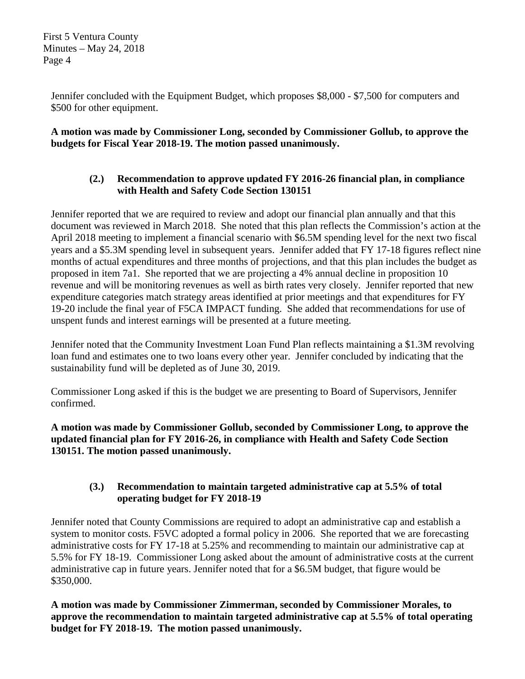Jennifer concluded with the Equipment Budget, which proposes \$8,000 - \$7,500 for computers and \$500 for other equipment.

**A motion was made by Commissioner Long, seconded by Commissioner Gollub, to approve the budgets for Fiscal Year 2018-19. The motion passed unanimously.**

## **(2.) Recommendation to approve updated FY 2016-26 financial plan, in compliance with Health and Safety Code Section 130151**

Jennifer reported that we are required to review and adopt our financial plan annually and that this document was reviewed in March 2018. She noted that this plan reflects the Commission's action at the April 2018 meeting to implement a financial scenario with \$6.5M spending level for the next two fiscal years and a \$5.3M spending level in subsequent years. Jennifer added that FY 17-18 figures reflect nine months of actual expenditures and three months of projections, and that this plan includes the budget as proposed in item 7a1. She reported that we are projecting a 4% annual decline in proposition 10 revenue and will be monitoring revenues as well as birth rates very closely. Jennifer reported that new expenditure categories match strategy areas identified at prior meetings and that expenditures for FY 19-20 include the final year of F5CA IMPACT funding. She added that recommendations for use of unspent funds and interest earnings will be presented at a future meeting.

Jennifer noted that the Community Investment Loan Fund Plan reflects maintaining a \$1.3M revolving loan fund and estimates one to two loans every other year. Jennifer concluded by indicating that the sustainability fund will be depleted as of June 30, 2019.

Commissioner Long asked if this is the budget we are presenting to Board of Supervisors, Jennifer confirmed.

**A motion was made by Commissioner Gollub, seconded by Commissioner Long, to approve the updated financial plan for FY 2016-26, in compliance with Health and Safety Code Section 130151. The motion passed unanimously.**

### **(3.) Recommendation to maintain targeted administrative cap at 5.5% of total operating budget for FY 2018-19**

Jennifer noted that County Commissions are required to adopt an administrative cap and establish a system to monitor costs. F5VC adopted a formal policy in 2006. She reported that we are forecasting administrative costs for FY 17-18 at 5.25% and recommending to maintain our administrative cap at 5.5% for FY 18-19. Commissioner Long asked about the amount of administrative costs at the current administrative cap in future years. Jennifer noted that for a \$6.5M budget, that figure would be \$350,000.

**A motion was made by Commissioner Zimmerman, seconded by Commissioner Morales, to approve the recommendation to maintain targeted administrative cap at 5.5% of total operating budget for FY 2018-19. The motion passed unanimously.**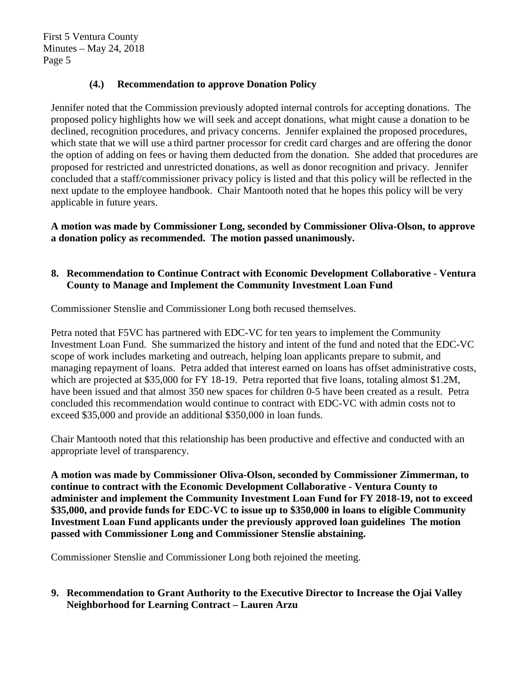### **(4.) Recommendation to approve Donation Policy**

Jennifer noted that the Commission previously adopted internal controls for accepting donations. The proposed policy highlights how we will seek and accept donations, what might cause a donation to be declined, recognition procedures, and privacy concerns. Jennifer explained the proposed procedures, which state that we will use a third partner processor for credit card charges and are offering the donor the option of adding on fees or having them deducted from the donation. She added that procedures are proposed for restricted and unrestricted donations, as well as donor recognition and privacy. Jennifer concluded that a staff/commissioner privacy policy is listed and that this policy will be reflected in the next update to the employee handbook. Chair Mantooth noted that he hopes this policy will be very applicable in future years.

**A motion was made by Commissioner Long, seconded by Commissioner Oliva-Olson, to approve a donation policy as recommended. The motion passed unanimously.**

#### **8. Recommendation to Continue Contract with Economic Development Collaborative - Ventura County to Manage and Implement the Community Investment Loan Fund**

Commissioner Stenslie and Commissioner Long both recused themselves.

Petra noted that F5VC has partnered with EDC-VC for ten years to implement the Community Investment Loan Fund. She summarized the history and intent of the fund and noted that the EDC-VC scope of work includes marketing and outreach, helping loan applicants prepare to submit, and managing repayment of loans. Petra added that interest earned on loans has offset administrative costs, which are projected at \$35,000 for FY 18-19. Petra reported that five loans, totaling almost \$1.2M, have been issued and that almost 350 new spaces for children 0-5 have been created as a result. Petra concluded this recommendation would continue to contract with EDC-VC with admin costs not to exceed \$35,000 and provide an additional \$350,000 in loan funds.

Chair Mantooth noted that this relationship has been productive and effective and conducted with an appropriate level of transparency.

**A motion was made by Commissioner Oliva-Olson, seconded by Commissioner Zimmerman, to continue to contract with the Economic Development Collaborative - Ventura County to administer and implement the Community Investment Loan Fund for FY 2018-19, not to exceed \$35,000, and provide funds for EDC-VC to issue up to \$350,000 in loans to eligible Community Investment Loan Fund applicants under the previously approved loan guidelines The motion passed with Commissioner Long and Commissioner Stenslie abstaining.**

Commissioner Stenslie and Commissioner Long both rejoined the meeting.

**9. Recommendation to Grant Authority to the Executive Director to Increase the Ojai Valley Neighborhood for Learning Contract – Lauren Arzu**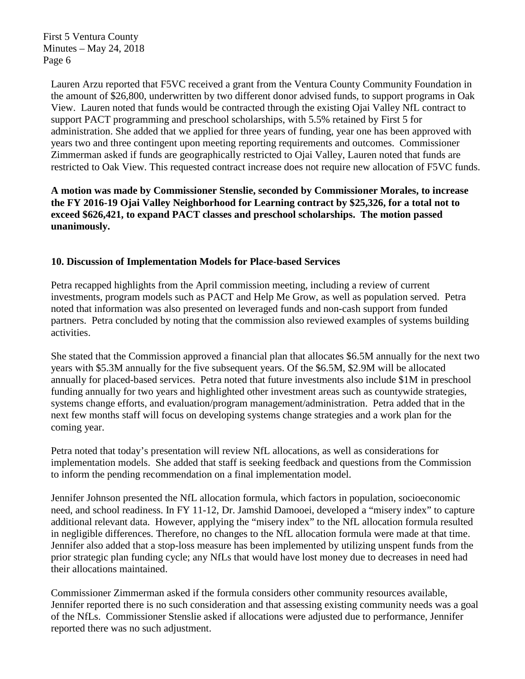Lauren Arzu reported that F5VC received a grant from the Ventura County Community Foundation in the amount of \$26,800, underwritten by two different donor advised funds, to support programs in Oak View. Lauren noted that funds would be contracted through the existing Ojai Valley NfL contract to support PACT programming and preschool scholarships, with 5.5% retained by First 5 for administration. She added that we applied for three years of funding, year one has been approved with years two and three contingent upon meeting reporting requirements and outcomes. Commissioner Zimmerman asked if funds are geographically restricted to Ojai Valley, Lauren noted that funds are restricted to Oak View. This requested contract increase does not require new allocation of F5VC funds.

**A motion was made by Commissioner Stenslie, seconded by Commissioner Morales, to increase the FY 2016-19 Ojai Valley Neighborhood for Learning contract by \$25,326, for a total not to exceed \$626,421, to expand PACT classes and preschool scholarships. The motion passed unanimously.**

#### **10. Discussion of Implementation Models for Place-based Services**

Petra recapped highlights from the April commission meeting, including a review of current investments, program models such as PACT and Help Me Grow, as well as population served. Petra noted that information was also presented on leveraged funds and non-cash support from funded partners. Petra concluded by noting that the commission also reviewed examples of systems building activities.

She stated that the Commission approved a financial plan that allocates \$6.5M annually for the next two years with \$5.3M annually for the five subsequent years. Of the \$6.5M, \$2.9M will be allocated annually for placed-based services. Petra noted that future investments also include \$1M in preschool funding annually for two years and highlighted other investment areas such as countywide strategies, systems change efforts, and evaluation/program management/administration. Petra added that in the next few months staff will focus on developing systems change strategies and a work plan for the coming year.

Petra noted that today's presentation will review NfL allocations, as well as considerations for implementation models. She added that staff is seeking feedback and questions from the Commission to inform the pending recommendation on a final implementation model.

Jennifer Johnson presented the NfL allocation formula, which factors in population, socioeconomic need, and school readiness. In FY 11-12, Dr. Jamshid Damooei, developed a "misery index" to capture additional relevant data. However, applying the "misery index" to the NfL allocation formula resulted in negligible differences. Therefore, no changes to the NfL allocation formula were made at that time. Jennifer also added that a stop-loss measure has been implemented by utilizing unspent funds from the prior strategic plan funding cycle; any NfLs that would have lost money due to decreases in need had their allocations maintained.

Commissioner Zimmerman asked if the formula considers other community resources available, Jennifer reported there is no such consideration and that assessing existing community needs was a goal of the NfLs. Commissioner Stenslie asked if allocations were adjusted due to performance, Jennifer reported there was no such adjustment.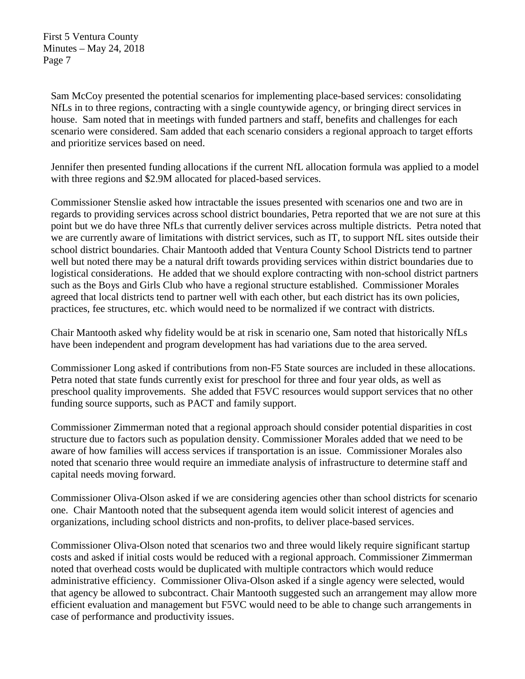Sam McCoy presented the potential scenarios for implementing place-based services: consolidating NfLs in to three regions, contracting with a single countywide agency, or bringing direct services in house. Sam noted that in meetings with funded partners and staff, benefits and challenges for each scenario were considered. Sam added that each scenario considers a regional approach to target efforts and prioritize services based on need.

Jennifer then presented funding allocations if the current NfL allocation formula was applied to a model with three regions and \$2.9M allocated for placed-based services.

Commissioner Stenslie asked how intractable the issues presented with scenarios one and two are in regards to providing services across school district boundaries, Petra reported that we are not sure at this point but we do have three NfLs that currently deliver services across multiple districts. Petra noted that we are currently aware of limitations with district services, such as IT, to support NfL sites outside their school district boundaries. Chair Mantooth added that Ventura County School Districts tend to partner well but noted there may be a natural drift towards providing services within district boundaries due to logistical considerations. He added that we should explore contracting with non-school district partners such as the Boys and Girls Club who have a regional structure established. Commissioner Morales agreed that local districts tend to partner well with each other, but each district has its own policies, practices, fee structures, etc. which would need to be normalized if we contract with districts.

Chair Mantooth asked why fidelity would be at risk in scenario one, Sam noted that historically NfLs have been independent and program development has had variations due to the area served.

Commissioner Long asked if contributions from non-F5 State sources are included in these allocations. Petra noted that state funds currently exist for preschool for three and four year olds, as well as preschool quality improvements. She added that F5VC resources would support services that no other funding source supports, such as PACT and family support.

Commissioner Zimmerman noted that a regional approach should consider potential disparities in cost structure due to factors such as population density. Commissioner Morales added that we need to be aware of how families will access services if transportation is an issue. Commissioner Morales also noted that scenario three would require an immediate analysis of infrastructure to determine staff and capital needs moving forward.

Commissioner Oliva-Olson asked if we are considering agencies other than school districts for scenario one. Chair Mantooth noted that the subsequent agenda item would solicit interest of agencies and organizations, including school districts and non-profits, to deliver place-based services.

Commissioner Oliva-Olson noted that scenarios two and three would likely require significant startup costs and asked if initial costs would be reduced with a regional approach. Commissioner Zimmerman noted that overhead costs would be duplicated with multiple contractors which would reduce administrative efficiency. Commissioner Oliva-Olson asked if a single agency were selected, would that agency be allowed to subcontract. Chair Mantooth suggested such an arrangement may allow more efficient evaluation and management but F5VC would need to be able to change such arrangements in case of performance and productivity issues.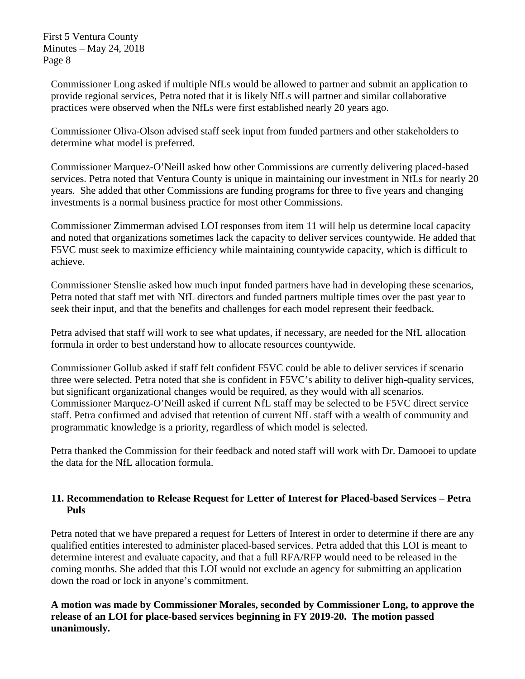Commissioner Long asked if multiple NfLs would be allowed to partner and submit an application to provide regional services, Petra noted that it is likely NfLs will partner and similar collaborative practices were observed when the NfLs were first established nearly 20 years ago.

Commissioner Oliva-Olson advised staff seek input from funded partners and other stakeholders to determine what model is preferred.

Commissioner Marquez-O'Neill asked how other Commissions are currently delivering placed-based services. Petra noted that Ventura County is unique in maintaining our investment in NfLs for nearly 20 years. She added that other Commissions are funding programs for three to five years and changing investments is a normal business practice for most other Commissions.

Commissioner Zimmerman advised LOI responses from item 11 will help us determine local capacity and noted that organizations sometimes lack the capacity to deliver services countywide. He added that F5VC must seek to maximize efficiency while maintaining countywide capacity, which is difficult to achieve.

Commissioner Stenslie asked how much input funded partners have had in developing these scenarios, Petra noted that staff met with NfL directors and funded partners multiple times over the past year to seek their input, and that the benefits and challenges for each model represent their feedback.

Petra advised that staff will work to see what updates, if necessary, are needed for the NfL allocation formula in order to best understand how to allocate resources countywide.

Commissioner Gollub asked if staff felt confident F5VC could be able to deliver services if scenario three were selected. Petra noted that she is confident in F5VC's ability to deliver high-quality services, but significant organizational changes would be required, as they would with all scenarios. Commissioner Marquez-O'Neill asked if current NfL staff may be selected to be F5VC direct service staff. Petra confirmed and advised that retention of current NfL staff with a wealth of community and programmatic knowledge is a priority, regardless of which model is selected.

Petra thanked the Commission for their feedback and noted staff will work with Dr. Damooei to update the data for the NfL allocation formula.

### **11. Recommendation to Release Request for Letter of Interest for Placed-based Services – Petra Puls**

Petra noted that we have prepared a request for Letters of Interest in order to determine if there are any qualified entities interested to administer placed-based services. Petra added that this LOI is meant to determine interest and evaluate capacity, and that a full RFA/RFP would need to be released in the coming months. She added that this LOI would not exclude an agency for submitting an application down the road or lock in anyone's commitment.

**A motion was made by Commissioner Morales, seconded by Commissioner Long, to approve the release of an LOI for place-based services beginning in FY 2019-20. The motion passed unanimously.**